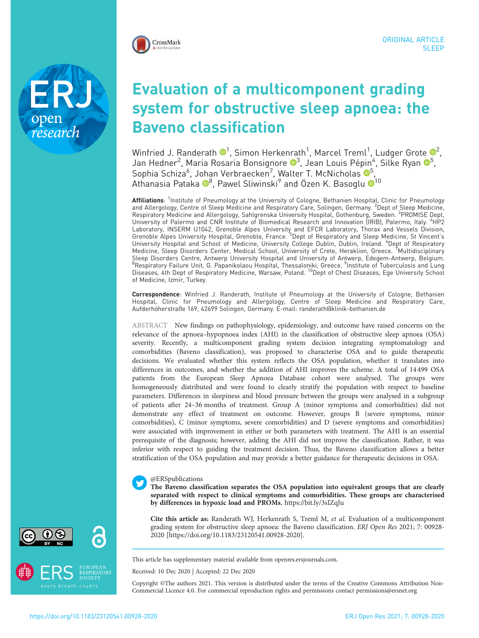

research

# Evaluation of a multicomponent grading system for obstructive sleep apnoea: the Baveno classification

Winfried J. Randerath  $\mathbf{\Theta}^1$ , Simon Herkenrath $^1$ , Marcel Treml $^1$ , Ludger Grote  $\mathbf{\Theta}^2$  $\mathbf{\Theta}^2$ , Jan Hedner<sup>2</sup>, Maria Rosaria Bonsignore ®<sup>[3](https://orcid.org/0000-0002-4875-7796)</sup>, Jean Louis Pépin<sup>4</sup>, Silke Ryan ®<sup>5</sup>, Sophia Schiza<sup>6</sup>, Johan Verbraecken<sup>7</sup>, Walter T. McNicholas O<sup>5</sup>, Athanasia Pataka ®<sup>[8](https://orcid.org/0000-0002-3252-6694)</sup>, Pawel Sliwinski<sup>9</sup> and Özen K. Basoglu ®<sup>[1](https://orcid.org/0000-0001-8168-6611)0</sup>

**Affiliations**: <sup>1</sup>Institute of Pneumology at the University of Cologne, Bethanien Hospital, Clinic for Pneumology and Allergology, Centre of Sleep Medicine and Respiratory Care, Solingen, Germany. <sup>2</sup>Dept of Sleep Medicine, Respiratory Medicine and Allergology, Sahlgrenska University Hospital, Gothenburg, Sweden. <sup>3</sup>PROMISE Dept, University of Palermo and CNR Institute of Biomedical Research and Innovation (IRIB), Palermo, Italy. "HP2 Laboratory, INSERM U1042, Grenoble Alpes University and EFCR Laboratory, Thorax and Vessels Division, Grenoble Alpes University Hospital, Grenoble, France. <sup>5</sup>Dept of Respiratory and Sleep Medicine, St Vincent's University Hospital and School of Medicine, University College Dublin, Dublin, Ireland. <sup>6</sup>Dept of Respiratory Medicine, Sleep Disorders Center, Medical School, University of Crete, Heraklion, Greece. <sup>7</sup> Multidisciplinary Sleep Disorders Centre, Antwerp University Hospital and University of Antwerp, Edegem-Antwerp, Belgium. <sup>8</sup>Respiratory Failure Unit, G. Papanikolaou Hospital, Thessaloniki, Greece. <sup>9</sup>Institute of Tuberculosis and Lung Diseases, 4th Dept of Respiratory Medicine, Warsaw, Poland. <sup>10</sup>Dept of Chest Diseases, Ege University School of Medicine, Izmir, Turkey.

Correspondence: Winfried J. Randerath, Institute of Pneumology at the University of Cologne, Bethanien Hospital, Clinic for Pneumology and Allergology, Centre of Sleep Medicine and Respiratory Care, Aufderhöherstraße 169, 42699 Solingen, Germany. E-mail: [randerath@klinik-bethanien.de](mailto:randerath@klinik-bethanien.de)

ABSTRACT New findings on pathophysiology, epidemiology, and outcome have raised concerns on the relevance of the apnoea–hypopnoea index (AHI) in the classification of obstructive sleep apnoea (OSA) severity. Recently, a multicomponent grading system decision integrating symptomatology and comorbidities (Baveno classification), was proposed to characterise OSA and to guide therapeutic decisions. We evaluated whether this system reflects the OSA population, whether it translates into differences in outcomes, and whether the addition of AHI improves the scheme. A total of 14499 OSA patients from the European Sleep Apnoea Database cohort were analysed. The groups were homogeneously distributed and were found to clearly stratify the population with respect to baseline parameters. Differences in sleepiness and blood pressure between the groups were analysed in a subgroup of patients after 24–36 months of treatment. Group A (minor symptoms and comorbidities) did not demonstrate any effect of treatment on outcome. However, groups B (severe symptoms, minor comorbidities), C (minor symptoms, severe comorbidities) and D (severe symptoms and comorbidities) were associated with improvement in either or both parameters with treatment. The AHI is an essential prerequisite of the diagnosis; however, adding the AHI did not improve the classification. Rather, it was inferior with respect to guiding the treatment decision. Thus, the Baveno classification allows a better stratification of the OSA population and may provide a better guidance for therapeutic decisions in OSA.

# @ERSpublications

The Baveno classification separates the OSA population into equivalent groups that are clearly separated with respect to clinical symptoms and comorbidities. These groups are characterised by differences in hypoxic load and PROMs. <https://bit.ly/3sIZqJu>

Cite this article as: Randerath WJ, Herkenrath S, Treml M, et al. Evaluation of a multicomponent grading system for obstructive sleep apnoea: the Baveno classification. ERJ Open Res 2021; 7: 00928- 2020 [\[https://doi.org/10.1183/23120541.00928-2020\].](https://doi.org/10.1183/23120541.00928-2020)

This article has supplementary material available from [openres.ersjournals.com.](openres.ersjournals.com)

Received: 10 Dec 2020 | Accepted: 22 Dec 2020

Copyright ©The authors 2021. This version is distributed under the terms of the Creative Commons Attribution Non-Commercial Licence 4.0. For commercial reproduction rights and permissions contact [permissions@ersnet.org](mailto:permissions@ersnet.org)



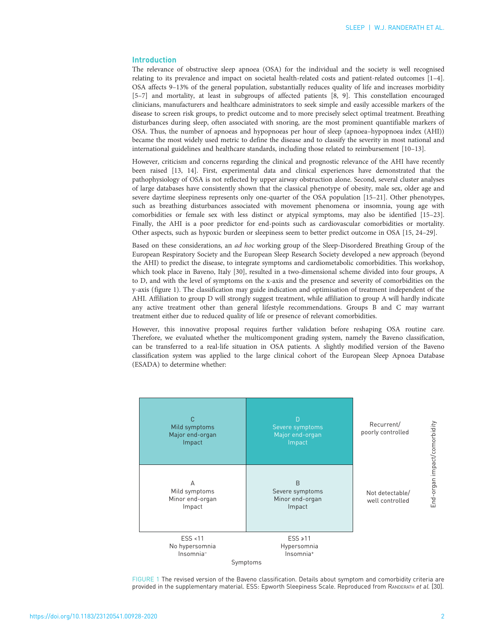# Introduction

The relevance of obstructive sleep apnoea (OSA) for the individual and the society is well recognised relating to its prevalence and impact on societal health-related costs and patient-related outcomes [[1](#page-8-0)–[4\]](#page-8-0). OSA affects 9–13% of the general population, substantially reduces quality of life and increases morbidity [[5](#page-8-0)–[7\]](#page-8-0) and mortality, at least in subgroups of affected patients [[8, 9](#page-8-0)]. This constellation encouraged clinicians, manufacturers and healthcare administrators to seek simple and easily accessible markers of the disease to screen risk groups, to predict outcome and to more precisely select optimal treatment. Breathing disturbances during sleep, often associated with snoring, are the most prominent quantifiable markers of OSA. Thus, the number of apnoeas and hypopnoeas per hour of sleep (apnoea–hypopnoea index (AHI)) became the most widely used metric to define the disease and to classify the severity in most national and international guidelines and healthcare standards, including those related to reimbursement [[10](#page-8-0)–[13](#page-8-0)].

However, criticism and concerns regarding the clinical and prognostic relevance of the AHI have recently been raised [[13](#page-8-0), [14](#page-8-0)]. First, experimental data and clinical experiences have demonstrated that the pathophysiology of OSA is not reflected by upper airway obstruction alone. Second, several cluster analyses of large databases have consistently shown that the classical phenotype of obesity, male sex, older age and severe daytime sleepiness represents only one-quarter of the OSA population [[15](#page-8-0)–[21\]](#page-9-0). Other phenotypes, such as breathing disturbances associated with movement phenomena or insomnia, young age with comorbidities or female sex with less distinct or atypical symptoms, may also be identified [[15](#page-8-0)–[23\]](#page-9-0). Finally, the AHI is a poor predictor for end-points such as cardiovascular comorbidities or mortality. Other aspects, such as hypoxic burden or sleepiness seem to better predict outcome in OSA [[15](#page-8-0), [24](#page-9-0)–[29\]](#page-9-0).

Based on these considerations, an ad hoc working group of the Sleep-Disordered Breathing Group of the European Respiratory Society and the European Sleep Research Society developed a new approach (beyond the AHI) to predict the disease, to integrate symptoms and cardiometabolic comorbidities. This workshop, which took place in Baveno, Italy [\[30\]](#page-9-0), resulted in a two-dimensional scheme divided into four groups, A to D, and with the level of symptoms on the x-axis and the presence and severity of comorbidities on the y-axis (figure 1). The classification may guide indication and optimisation of treatment independent of the AHI. Affiliation to group D will strongly suggest treatment, while affiliation to group A will hardly indicate any active treatment other than general lifestyle recommendations. Groups B and C may warrant treatment either due to reduced quality of life or presence of relevant comorbidities.

However, this innovative proposal requires further validation before reshaping OSA routine care. Therefore, we evaluated whether the multicomponent grading system, namely the Baveno classification, can be transferred to a real-life situation in OSA patients. A slightly modified version of the Baveno classification system was applied to the large clinical cohort of the European Sleep Apnoea Database (ESADA) to determine whether:



FIGURE 1 The revised version of the Baveno classification. Details about symptom and comorbidity criteria are provided in the [supplementary material.](http://openres.ersjournals.com/lookup/doi/10.1183/23120541.00928-2020.figures-only#fig-data-supplementary-materials) ESS: Epworth Sleepiness Scale. Reproduced from RANDERATH et al. [\[30\]](#page-9-0).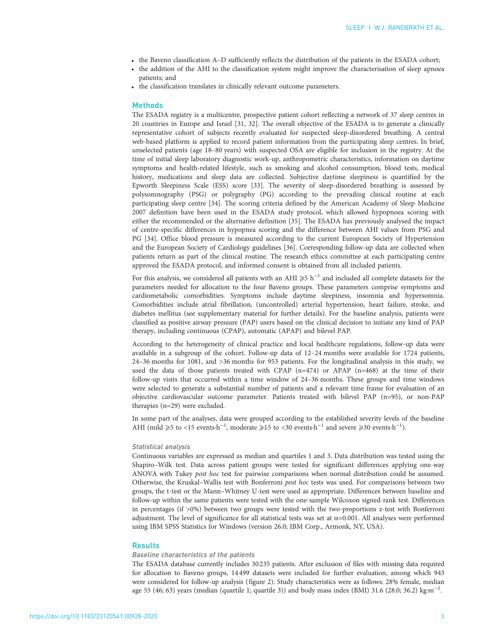- the Baveno classification A–D sufficiently reflects the distribution of the patients in the ESADA cohort;
- the addition of the AHI to the classification system might improve the characterisation of sleep apnoea patients; and
- the classification translates in clinically relevant outcome parameters.

# **Methods**

The ESADA registry is a multicentre, prospective patient cohort reflecting a network of 37 sleep centres in 20 countries in Europe and Israel [\[31, 32](#page-9-0)]. The overall objective of the ESADA is to generate a clinically representative cohort of subjects recently evaluated for suspected sleep-disordered breathing. A central web-based platform is applied to record patient information from the participating sleep centres. In brief, unselected patients (age 18–80 years) with suspected OSA are eligible for inclusion in the registry. At the time of initial sleep laboratory diagnostic work-up, anthropometric characteristics, information on daytime symptoms and health-related lifestyle, such as smoking and alcohol consumption, blood tests, medical history, medications and sleep data are collected. Subjective daytime sleepiness is quantified by the Epworth Sleepiness Scale (ESS) score [\[33\]](#page-9-0). The severity of sleep-disordered breathing is assessed by polysomnography (PSG) or polygraphy (PG) according to the prevailing clinical routine at each participating sleep centre [[34](#page-9-0)]. The scoring criteria defined by the American Academy of Sleep Medicine 2007 definition have been used in the ESADA study protocol, which allowed hypopnoea scoring with either the recommended or the alternative definition [[35\]](#page-9-0). The ESADA has previously analysed the impact of centre-specific differences in hypopnea scoring and the difference between AHI values from PSG and PG [[34](#page-9-0)]. Office blood pressure is measured according to the current European Society of Hypertension and the European Society of Cardiology guidelines [[36\]](#page-9-0). Corresponding follow-up data are collected when patients return as part of the clinical routine. The research ethics committee at each participating centre approved the ESADA protocol, and informed consent is obtained from all included patients.

For this analysis, we considered all patients with an AHI  $\geq 5$  h<sup>-1</sup> and included all complete datasets for the parameters needed for allocation to the four Baveno groups. These parameters comprise symptoms and cardiometabolic comorbidities. Symptoms include daytime sleepiness, insomnia and hypersomnia. Comorbidities include atrial fibrillation, (uncontrolled) arterial hypertension, heart failure, stroke, and diabetes mellitus (see [supplementary material](http://openres.ersjournals.com/lookup/doi/10.1183/23120541.00928-2020.figures-only#fig-data-supplementary-materials) for further details). For the baseline analysis, patients were classified as positive airway pressure (PAP) users based on the clinical decision to initiate any kind of PAP therapy, including continuous (CPAP), automatic (APAP) and bilevel PAP.

According to the heterogeneity of clinical practice and local healthcare regulations, follow-up data were available in a subgroup of the cohort. Follow-up data of 12–24 months were available for 1724 patients, 24–36 months for 1081, and >36 months for 953 patients. For the longitudinal analysis in this study, we used the data of those patients treated with CPAP (n=474) or APAP (n=468) at the time of their follow-up visits that occurred within a time window of 24–36 months. These groups and time windows were selected to generate a substantial number of patients and a relevant time frame for evaluation of an objective cardiovascular outcome parameter. Patients treated with bilevel PAP (n=95), or non-PAP therapies (n=29) were excluded.

In some part of the analyses, data were grouped according to the established severity levels of the baseline AHI (mild  $\ge 5$  to <15 events $h^{-1}$ , moderate  $\ge 15$  to <30 events $h^{-1}$  and severe  $\ge 30$  events  $h^{-1}$ ).

# Statistical analysis

Continuous variables are expressed as median and quartiles 1 and 3. Data distribution was tested using the Shapiro–Wilk test. Data across patient groups were tested for significant differences applying one-way ANOVA with Tukey post hoc test for pairwise comparisons when normal distribution could be assumed. Otherwise, the Kruskal–Wallis test with Bonferroni post hoc tests was used. For comparisons between two groups, the t-test or the Mann–Whitney U-test were used as appropriate. Differences between baseline and follow-up within the same patients were tested with the one-sample Wilcoxon signed-rank test. Differences in percentages (if >0%) between two groups were tested with the two-proportions z-test with Bonferroni adjustment. The level of significance for all statistical tests was set at  $\alpha$ =0.001. All analyses were performed using IBM SPSS Statistics for Windows (version 26.0; IBM Corp., Armonk, NY, USA).

## Results

## Baseline characteristics of the patients

The ESADA database currently includes 30235 patients. After exclusion of files with missing data required for allocation to Baveno groups, 14499 datasets were included for further evaluation, among which 943 were considered for follow-up analysis ([figure 2\)](#page-3-0). Study characteristics were as follows: 28% female, median age 55 (46; 63) years (median (quartile 1; quartile 3)) and body mass index (BMI) 31.6 (28.0; 36.2) kg·m−<sup>2</sup> .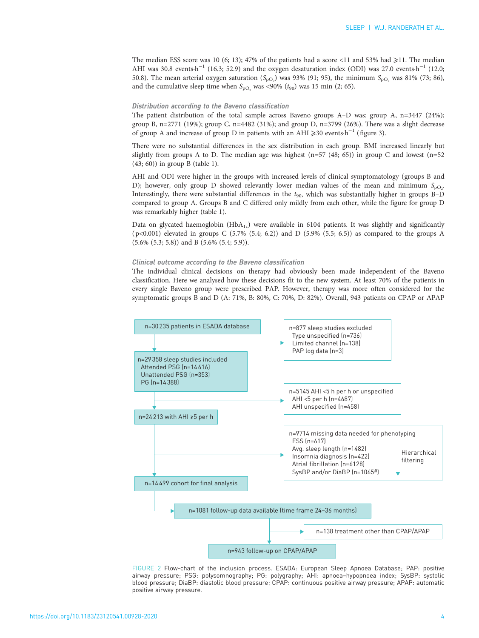<span id="page-3-0"></span>The median ESS score was 10 (6; 13); 47% of the patients had a score <11 and 53% had  $\geq$ 11. The median AHI was 30.8 events·h<sup>-1</sup> (16.3; 52.9) and the oxygen desaturation index (ODI) was 27.0 events·h<sup>-1</sup> (12.0; 50.8). The mean arterial oxygen saturation ( $S_{\rm pO_2}$ ) was 93% (91; 95), the minimum  $S_{\rm pO_2}$  was 81% (73; 86), and the cumulative sleep time when  $S_{\text{pO}_2}$  was <90% ( $t_{90}$ ) was 15 min (2; 65).

#### Distribution according to the Baveno classification

The patient distribution of the total sample across Baveno groups A–D was: group A, n=3447 (24%); group B, n=2771 (19%); group C, n=4482 (31%); and group D, n=3799 (26%). There was a slight decrease of group A and increase of group D in patients with an AHI  $\geq 30$  events $\cdot h^{-1}$  ([figure 3](#page-4-0)).

There were no substantial differences in the sex distribution in each group. BMI increased linearly but slightly from groups A to D. The median age was highest  $(n=57 \ (48; 65))$  in group C and lowest  $(n=52 \$ (43; 60)) in group B [\(table 1](#page-4-0)).

AHI and ODI were higher in the groups with increased levels of clinical symptomatology (groups B and D); however, only group D showed relevantly lower median values of the mean and minimum  $S_{\text{pO}_2}$ Interestingly, there were substantial differences in the  $t_{90}$ , which was substantially higher in groups B-D compared to group A. Groups B and C differed only mildly from each other, while the figure for group D was remarkably higher [\(table 1](#page-4-0)).

Data on glycated haemoglobin  $(HbA_{1c})$  were available in 6104 patients. It was slightly and significantly  $(p<0.001)$  elevated in groups C  $(5.7\% (5.4; 6.2))$  and D  $(5.9\% (5.5; 6.5))$  as compared to the groups A (5.6% (5.3; 5.8)) and B (5.6% (5.4; 5.9)).

# Clinical outcome according to the Baveno classification

The individual clinical decisions on therapy had obviously been made independent of the Baveno classification. Here we analysed how these decisions fit to the new system. At least 70% of the patients in every single Baveno group were prescribed PAP. However, therapy was more often considered for the symptomatic groups B and D (A: 71%, B: 80%, C: 70%, D: 82%). Overall, 943 patients on CPAP or APAP



FIGURE 2 Flow-chart of the inclusion process. ESADA: European Sleep Apnoea Database; PAP: positive airway pressure; PSG: polysomnography; PG: polygraphy; AHI: apnoea–hypopnoea index; SysBP: systolic blood pressure; DiaBP: diastolic blood pressure; CPAP: continuous positive airway pressure; APAP: automatic positive airway pressure.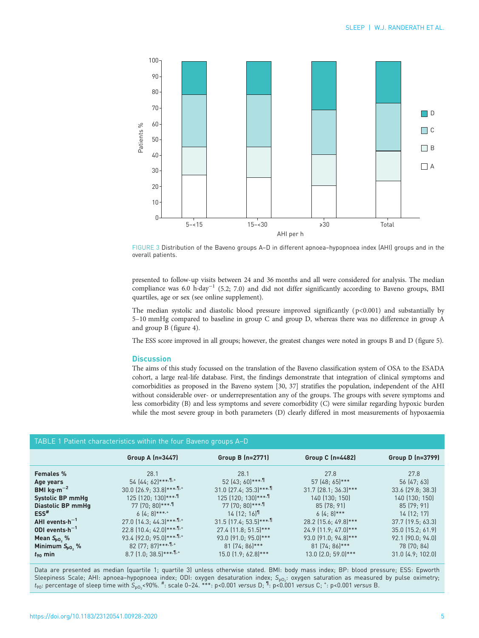<span id="page-4-0"></span>

FIGURE 3 Distribution of the Baveno groups A–D in different apnoea–hypopnoea index (AHI) groups and in the overall patients.

presented to follow-up visits between 24 and 36 months and all were considered for analysis. The median compliance was 6.0 h·day−<sup>1</sup> (5.2; 7.0) and did not differ significantly according to Baveno groups, BMI quartiles, age or sex (see [online supplement](http://openres.ersjournals.com/lookup/doi/10.1183/23120541.00928-2020.figures-only#fig-data-supplementary-materials)).

The median systolic and diastolic blood pressure improved significantly  $(p<0.001)$  and substantially by 5–10 mmHg compared to baseline in group C and group D, whereas there was no difference in group A and group B [\(figure 4\)](#page-5-0).

The ESS score improved in all groups; however, the greatest changes were noted in groups B and D [\(figure 5\)](#page-5-0).

### **Discussion**

The aims of this study focussed on the translation of the Baveno classification system of OSA to the ESADA cohort, a large real-life database. First, the findings demonstrate that integration of clinical symptoms and comorbidities as proposed in the Baveno system [\[30, 37](#page-9-0)] stratifies the population, independent of the AHI without considerable over- or underrepresentation any of the groups. The groups with severe symptoms and less comorbidity (B) and less symptoms and severe comorbidity (C) were similar regarding hypoxic burden while the most severe group in both parameters (D) clearly differed in most measurements of hypoxaemia

# TABLE 1 Patient characteristics within the four Baveno groups A–D

|                                    | Group A $(n=3447)$                       | Group B (n=2771)                            | Group C (n=4482)       | Group D (n=3799)      |
|------------------------------------|------------------------------------------|---------------------------------------------|------------------------|-----------------------|
| <b>Females %</b>                   | 28.1                                     | 28.1                                        | 27.8                   | 27.8                  |
| Age years                          | $54(44:62)***$                           | $52 [43:60]***$                             | 57 (48; 65)***         | 56 (47: 63)           |
| BMI $kg·m-2$                       | $30.0$ $(26.9; 33.8)***$ , 1.+           | $31.0$ (27.4; 35.3)****                     | $31.7$ (28.1; 36.3)*** | 33.6 (29.8; 38.3)     |
| Systolic BP mmHq                   | $125$ (120; 130)*** $\cdot$ <sup>1</sup> | 125 (120; 130)*** $\cdot$ 1                 | 140 (130; 150)         | 140 (130; 150)        |
| Diastolic BP mmHq                  | 77 (70: 80) ***.                         | $77$ (70: 80)*** $\cdot$ ¶                  | $85$ (78: 91)          | 85 [79:91]            |
| $ESS$ <sup>#</sup>                 | $6[4:8]$ ***,*                           | $14$ $(12; 16)$ <sup>1</sup>                | $6[4:8]^{***}$         | $14$ $(12; 17)$       |
| AHI events $\cdot$ h <sup>-1</sup> | $27.0$ (14.3; 44.3)****.                 | $31.5$ (17.4; 53.5)*** $\cdot$ <sup>1</sup> | 28.2 (15.6; 49.8)***   | $37.7$ (19.5: 63.3)   |
| ODI events $\cdot$ h <sup>-1</sup> | $22.8$ (10.4: 42.0)****, 1.+             | 27.4 (11.8; 51.5)***                        | 24.9 (11.9: 47.0)***   | $35.0$ (15.2; 61.9)   |
| Mean $S_{\text{p0}}$ %             | 93.4 (92.0; 95.0) ***. 1.+               | 93.0 (91.0; 95.0)***                        | 93.0 (91.0; 94.8)***   | $92.1$ $(90.0; 94.0)$ |
| Minimum $S_{\text{p0}}$ %          | $82$ (77; 87)*** $\cdot$ <sup>1</sup>    | $81 [74; 86]$ ***                           | 81 (74: 86) ***        | 78 (70: 84)           |
| $t_{90}$ min                       | $8.7$ (1.0; 38.5)*** $\cdot$ 1.+         | 15.0 (1.9; 62.8)***                         | $13.0$ $[2.0:59.0]***$ | $31.0$ $(4.9; 102.0)$ |

Data are presented as median (quartile 1; quartile 3) unless otherwise stated. BMI: body mass index; BP: blood pressure; ESS: Epworth Sleepiness Scale; AHI: apnoea–hypopnoea index; ODI: oxygen desaturation index; S<sub>po2</sub>: oxygen saturation as measured by pulse oximetry;  $t_{90}$ : percentage of sleep time with  $S_{\rho O_2}$ <90%.  $^{\#}$ : scale 0–24.  $^{***}$ : p<0.001 *versus* D;  $^{\P}$ : p<0.001 *versus* C;  $^+$ : p<0.001 *versus* B.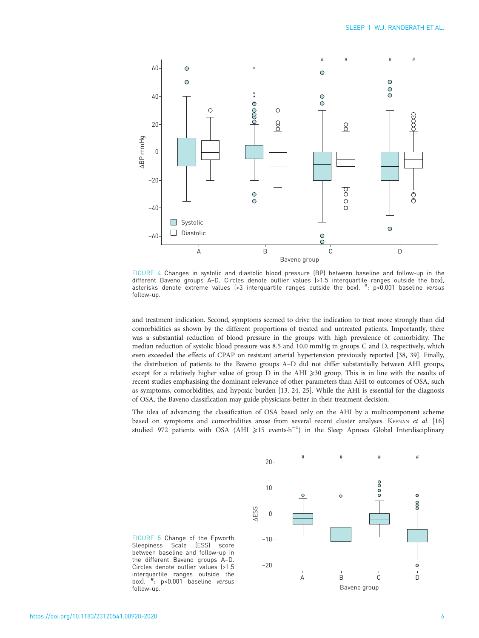<span id="page-5-0"></span>

FIGURE 4 Changes in systolic and diastolic blood pressure (BP) between baseline and follow-up in the different Baveno groups A–D. Circles denote outlier values (>1.5 interquartile ranges outside the box), asterisks denote extreme values (>3 interquartile ranges outside the box). <sup>#</sup>: p<0.001 baseline versus follow-up.

and treatment indication. Second, symptoms seemed to drive the indication to treat more strongly than did comorbidities as shown by the different proportions of treated and untreated patients. Importantly, there was a substantial reduction of blood pressure in the groups with high prevalence of comorbidity. The median reduction of systolic blood pressure was 8.5 and 10.0 mmHg in groups C and D, respectively, which even exceeded the effects of CPAP on resistant arterial hypertension previously reported [[38](#page-9-0), [39](#page-9-0)]. Finally, the distribution of patients to the Baveno groups A–D did not differ substantially between AHI groups, except for a relatively higher value of group  $D$  in the AHI  $\geqslant$ 30 group. This is in line with the results of recent studies emphasising the dominant relevance of other parameters than AHI to outcomes of OSA, such as symptoms, comorbidities, and hypoxic burden [\[13,](#page-8-0) [24](#page-9-0), [25\]](#page-9-0). While the AHI is essential for the diagnosis of OSA, the Baveno classification may guide physicians better in their treatment decision.

The idea of advancing the classification of OSA based only on the AHI by a multicomponent scheme based on symptoms and comorbidities arose from several recent cluster analyses. KEENAN et al. [\[16\]](#page-8-0) studied 972 patients with OSA (AHI ≥15 events-h<sup>-1</sup>) in the Sleep Apnoea Global Interdisciplinary



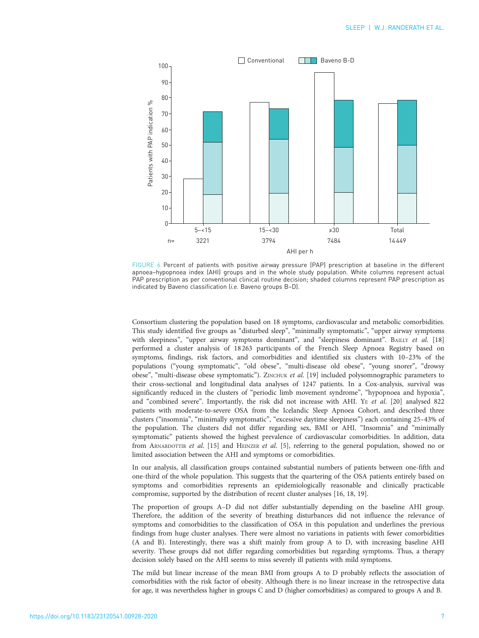<span id="page-6-0"></span>

FIGURE 6 Percent of patients with positive airway pressure (PAP) prescription at baseline in the different apnoea–hypopnoea index (AHI) groups and in the whole study population. White columns represent actual PAP prescription as per conventional clinical routine decision; shaded columns represent PAP prescription as indicated by Baveno classification (i.e. Baveno groups B-D).

Consortium clustering the population based on 18 symptoms, cardiovascular and metabolic comorbidities. This study identified five groups as "disturbed sleep", "minimally symptomatic", "upper airway symptoms with sleepiness", "upper airway symptoms dominant", and "sleepiness dominant". BAILLY et al. [\[18\]](#page-9-0) performed a cluster analysis of 18 263 participants of the French Sleep Apnoea Registry based on symptoms, findings, risk factors, and comorbidities and identified six clusters with 10–23% of the populations ("young symptomatic", "old obese", "multi-disease old obese", "young snorer", "drowsy obese", "multi-disease obese symptomatic"). ZINCHUK et al. [[19](#page-9-0)] included polysomnographic parameters to their cross-sectional and longitudinal data analyses of 1247 patients. In a Cox-analysis, survival was significantly reduced in the clusters of "periodic limb movement syndrome", "hypopnoea and hypoxia", and "combined severe". Importantly, the risk did not increase with AHI. YE et al. [[20](#page-9-0)] analysed 822 patients with moderate-to-severe OSA from the Icelandic Sleep Apnoea Cohort, and described three clusters ("insomnia", "minimally symptomatic", "excessive daytime sleepiness") each containing 25–43% of the population. The clusters did not differ regarding sex, BMI or AHI. "Insomnia" and "minimally symptomatic" patients showed the highest prevalence of cardiovascular comorbidities. In addition, data from ARNARDOTTIR et al. [\[15\]](#page-8-0) and HEINZER et al. [[5](#page-8-0)], referring to the general population, showed no or limited association between the AHI and symptoms or comorbidities.

In our analysis, all classification groups contained substantial numbers of patients between one-fifth and one-third of the whole population. This suggests that the quartering of the OSA patients entirely based on symptoms and comorbidities represents an epidemiologically reasonable and clinically practicable compromise, supported by the distribution of recent cluster analyses [\[16,](#page-8-0) [18, 19](#page-9-0)].

The proportion of groups A–D did not differ substantially depending on the baseline AHI group. Therefore, the addition of the severity of breathing disturbances did not influence the relevance of symptoms and comorbidities to the classification of OSA in this population and underlines the previous findings from huge cluster analyses. There were almost no variations in patients with fewer comorbidities (A and B). Interestingly, there was a shift mainly from group A to D, with increasing baseline AHI severity. These groups did not differ regarding comorbidities but regarding symptoms. Thus, a therapy decision solely based on the AHI seems to miss severely ill patients with mild symptoms.

The mild but linear increase of the mean BMI from groups A to D probably reflects the association of comorbidities with the risk factor of obesity. Although there is no linear increase in the retrospective data for age, it was nevertheless higher in groups C and D (higher comorbidities) as compared to groups A and B.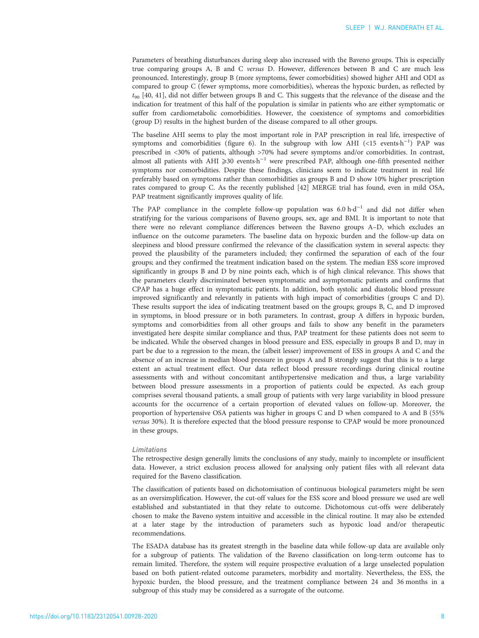Parameters of breathing disturbances during sleep also increased with the Baveno groups. This is especially true comparing groups A, B and C versus D. However, differences between B and C are much less pronounced. Interestingly, group B (more symptoms, fewer comorbidities) showed higher AHI and ODI as compared to group C (fewer symptoms, more comorbidities), whereas the hypoxic burden, as reflected by  $t_{90}$  [[40](#page-9-0), [41\]](#page-9-0), did not differ between groups B and C. This suggests that the relevance of the disease and the indication for treatment of this half of the population is similar in patients who are either symptomatic or suffer from cardiometabolic comorbidities. However, the coexistence of symptoms and comorbidities (group D) results in the highest burden of the disease compared to all other groups.

The baseline AHI seems to play the most important role in PAP prescription in real life, irrespective of symptoms and comorbidities ([figure 6](#page-6-0)). In the subgroup with low AHI (<15 events·h<sup>-1</sup>) PAP was prescribed in <30% of patients, although >70% had severe symptoms and/or comorbidities. In contrast, almost all patients with AHI ≥30 events·h<sup>-1</sup> were prescribed PAP, although one-fifth presented neither symptoms nor comorbidities. Despite these findings, clinicians seem to indicate treatment in real life preferably based on symptoms rather than comorbidities as groups B and D show 10% higher prescription rates compared to group C. As the recently published [[42](#page-9-0)] MERGE trial has found, even in mild OSA, PAP treatment significantly improves quality of life.

The PAP compliance in the complete follow-up population was  $6.0 \text{ h} \cdot \text{d}^{-1}$  and did not differ when stratifying for the various comparisons of Baveno groups, sex, age and BMI. It is important to note that there were no relevant compliance differences between the Baveno groups A–D, which excludes an influence on the outcome parameters. The baseline data on hypoxic burden and the follow-up data on sleepiness and blood pressure confirmed the relevance of the classification system in several aspects: they proved the plausibility of the parameters included; they confirmed the separation of each of the four groups; and they confirmed the treatment indication based on the system. The median ESS score improved significantly in groups B and D by nine points each, which is of high clinical relevance. This shows that the parameters clearly discriminated between symptomatic and asymptomatic patients and confirms that CPAP has a huge effect in symptomatic patients. In addition, both systolic and diastolic blood pressure improved significantly and relevantly in patients with high impact of comorbidities (groups C and D). These results support the idea of indicating treatment based on the groups; groups B, C, and D improved in symptoms, in blood pressure or in both parameters. In contrast, group A differs in hypoxic burden, symptoms and comorbidities from all other groups and fails to show any benefit in the parameters investigated here despite similar compliance and thus, PAP treatment for these patients does not seem to be indicated. While the observed changes in blood pressure and ESS, especially in groups B and D, may in part be due to a regression to the mean, the (albeit lesser) improvement of ESS in groups A and C and the absence of an increase in median blood pressure in groups A and B strongly suggest that this is to a large extent an actual treatment effect. Our data reflect blood pressure recordings during clinical routine assessments with and without concomitant antihypertensive medication and thus, a large variability between blood pressure assessments in a proportion of patients could be expected. As each group comprises several thousand patients, a small group of patients with very large variability in blood pressure accounts for the occurrence of a certain proportion of elevated values on follow-up. Moreover, the proportion of hypertensive OSA patients was higher in groups C and D when compared to A and B (55% versus 30%). It is therefore expected that the blood pressure response to CPAP would be more pronounced in these groups.

#### Limitations

The retrospective design generally limits the conclusions of any study, mainly to incomplete or insufficient data. However, a strict exclusion process allowed for analysing only patient files with all relevant data required for the Baveno classification.

The classification of patients based on dichotomisation of continuous biological parameters might be seen as an oversimplification. However, the cut-off values for the ESS score and blood pressure we used are well established and substantiated in that they relate to outcome. Dichotomous cut-offs were deliberately chosen to make the Baveno system intuitive and accessible in the clinical routine. It may also be extended at a later stage by the introduction of parameters such as hypoxic load and/or therapeutic recommendations.

The ESADA database has its greatest strength in the baseline data while follow-up data are available only for a subgroup of patients. The validation of the Baveno classification on long-term outcome has to remain limited. Therefore, the system will require prospective evaluation of a large unselected population based on both patient-related outcome parameters, morbidity and mortality. Nevertheless, the ESS, the hypoxic burden, the blood pressure, and the treatment compliance between 24 and 36 months in a subgroup of this study may be considered as a surrogate of the outcome.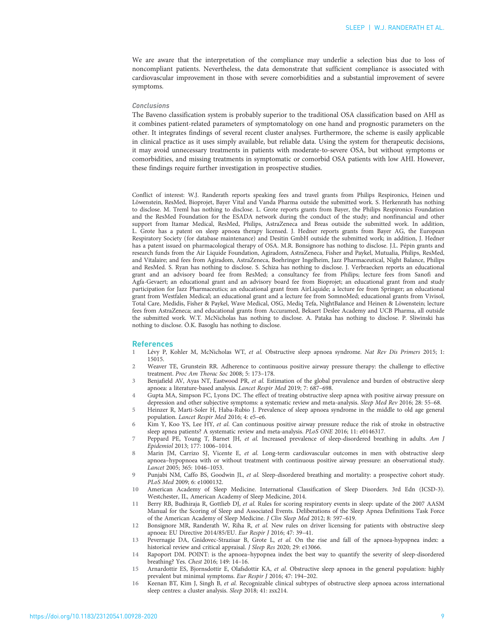<span id="page-8-0"></span>We are aware that the interpretation of the compliance may underlie a selection bias due to loss of noncompliant patients. Nevertheless, the data demonstrate that sufficient compliance is associated with cardiovascular improvement in those with severe comorbidities and a substantial improvement of severe symptoms.

#### Conclusions

The Baveno classification system is probably superior to the traditional OSA classification based on AHI as it combines patient-related parameters of symptomatology on one hand and prognostic parameters on the other. It integrates findings of several recent cluster analyses. Furthermore, the scheme is easily applicable in clinical practice as it uses simply available, but reliable data. Using the system for therapeutic decisions, it may avoid unnecessary treatments in patients with moderate-to-severe OSA, but without symptoms or comorbidities, and missing treatments in symptomatic or comorbid OSA patients with low AHI. However, these findings require further investigation in prospective studies.

Conflict of interest: W.J. Randerath reports speaking fees and travel grants from Philips Respironics, Heinen und Löwenstein, ResMed, Bioprojet, Bayer Vital and Vanda Pharma outside the submitted work. S. Herkenrath has nothing to disclose. M. Treml has nothing to disclose. L. Grote reports grants from Bayer, the Philips Respironics Foundation and the ResMed Foundation for the ESADA network during the conduct of the study; and nonfinancial and other support from Itamar Medical, ResMed, Philips, AstraZeneca and Breas outside the submitted work. In addition, L. Grote has a patent on sleep apnoea therapy licensed. J. Hedner reports grants from Bayer AG, the European Respiratory Society (for database maintenance) and Desitin GmbH outside the submitted work; in addition, J. Hedner has a patent issued on pharmacological therapy of OSA. M.R. Bonsignore has nothing to disclose. J.L. Pépin grants and research funds from the Air Liquide Foundation, Agiradom, AstraZeneca, Fisher and Paykel, Mutualia, Philips, ResMed, and Vitalaire; and fees from Agiradom, AstraZeneca, Boehringer Ingelheim, Jazz Pharmaceutical, Night Balance, Philips and ResMed. S. Ryan has nothing to disclose. S. Schiza has nothing to disclose. J. Verbraecken reports an educational grant and an advisory board fee from ResMed; a consultancy fee from Philips; lecture fees from Sanofi and Agfa-Gevaert; an educational grant and an advisory board fee from Bioprojet; an educational grant from and study participation for Jazz Pharmaceutics; an educational grant from AirLiquide; a lecture fee from Springer; an educational grant from Westfalen Medical; an educational grant and a lecture fee from SomnoMed; educational grants from Vivisol, Total Care, Medidis, Fisher & Paykel, Wave Medical, OSG, Mediq Tefa, NightBalance and Heinen & Löwenstein; lecture fees from AstraZeneca; and educational grants from Accuramed, Bekaert Deslee Academy and UCB Pharma, all outside the submitted work. W.T. McNicholas has nothing to disclose. A. Pataka has nothing to disclose. P. Sliwinski has nothing to disclose. Ö.K. Basoglu has nothing to disclose.

#### **References**

- 1 Lévy P, Kohler M, McNicholas WT, et al. Obstructive sleep apnoea syndrome. Nat Rev Dis Primers 2015; 1: 15015.
- 2 Weaver TE, Grunstein RR. Adherence to continuous positive airway pressure therapy: the challenge to effective treatment. Proc Am Thorac Soc 2008; 5: 173–178.
- 3 Benjafield AV, Ayas NT, Eastwood PR, et al. Estimation of the global prevalence and burden of obstructive sleep apnoea: a literature-based analysis. Lancet Respir Med 2019; 7: 687–698.
- Gupta MA, Simpson FC, Lyons DC. The effect of treating obstructive sleep apnea with positive airway pressure on depression and other subjective symptoms: a systematic review and meta-analysis. Sleep Med Rev 2016; 28: 55–68.
- 5 Heinzer R, Marti-Soler H, Haba-Rubio J. Prevalence of sleep apnoea syndrome in the middle to old age general population. Lancet Respir Med 2016; 4: e5–e6.
- 6 Kim Y, Koo YS, Lee HY, et al. Can continuous positive airway pressure reduce the risk of stroke in obstructive sleep apnea patients? A systematic review and meta-analysis. PLoS ONE 2016; 11: e0146317.
- 7 Peppard PE, Young T, Barnet JH, et al. Increased prevalence of sleep-disordered breathing in adults. Am J Epidemiol 2013; 177: 1006–1014.
- 8 Marin JM, Carrizo SJ, Vicente E, et al. Long-term cardiovascular outcomes in men with obstructive sleep apnoea–hypopnoea with or without treatment with continuous positive airway pressure: an observational study. Lancet 2005; 365: 1046–1053.
- 9 Punjabi NM, Caffo BS, Goodwin JL, et al. Sleep-disordered breathing and mortality: a prospective cohort study. PLoS Med 2009; 6: e1000132.
- 10 American Academy of Sleep Medicine. International Classification of Sleep Disorders. 3rd Edn (ICSD-3). Westchester, IL, American Academy of Sleep Medicine, 2014.
- 11 Berry RB, Budhiraja R, Gottlieb DJ, et al. Rules for scoring respiratory events in sleep: update of the 2007 AASM Manual for the Scoring of Sleep and Associated Events. Deliberations of the Sleep Apnea Definitions Task Force of the American Academy of Sleep Medicine. J Clin Sleep Med 2012; 8: 597–619.
- 12 Bonsignore MR, Randerath W, Riha R, et al. New rules on driver licensing for patients with obstructive sleep apnoea: EU Directive 2014/85/EU. Eur Respir J 2016; 47: 39–41.
- Pevernagie DA, Gnidovec-Strazisar B, Grote L, et al. On the rise and fall of the apnoea-hypopnea index: a historical review and critical appraisal. J Sleep Res 2020; 29: e13066.
- 14 Rapoport DM. POINT: is the apnoea–hypopnea index the best way to quantify the severity of sleep-disordered breathing? Yes. Chest 2016; 149: 14–16.
- 15 Arnardottir ES, Bjornsdottir E, Olafsdottir KA, et al. Obstructive sleep apnoea in the general population: highly prevalent but minimal symptoms. Eur Respir J 2016; 47: 194–202.
- 16 Keenan BT, Kim J, Singh B, et al. Recognizable clinical subtypes of obstructive sleep apnoea across international sleep centres: a cluster analysis. Sleep 2018; 41: zsx214.